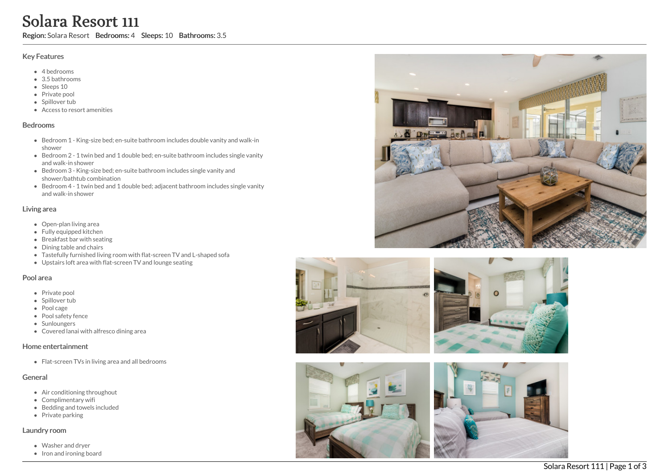# Solara Resort 111

Region: Solara Resort Bedrooms: 4 Sleeps: 10 Bathrooms: 3.5

#### Key Features

- 4 b e d r o o m s
- 3.5 b a t h r o o m s
- Sleeps 10
- Private pool
- Spillover tub
- Access to resort amenities

#### **Bedrooms**

- Bedroom 1 King-size bed; en-suite bathroom includes double vanity and walk-in s h o w e r
- Bedroom 2 1 twin bed and 1 double bed; en-suite bathroom includes single vanity a n d w alk -in s h o w e r
- Bedroom 3 King-size bed; en-suite bathroom includes single vanity and shower/bathtub combination
- Bedroom 4 1 twin bed and 1 double bed; adjacent bathroom includes single vanity a n d w alk -in s h o w e r

#### Living area

- Open-plan living area
- Fully equipped kitchen
- Breakfast bar with seating
- Dining table and chairs
- Tastefully furnished living room with flat-screen TV and L-shaped sofa
- Upstairs loft area with flat-screen TV and lounge seating

# Pool area

- Private pool
- Spillover tub
- Pool cage
- Pool safety fence
- **Sunloungers**
- Covered lanai with alfresco dining area

#### Home entertainment

Flat-screen TVs in living area and all bedrooms

#### General

- Air conditioning throughout
- Complimentary wifi
- Bedding and towels in clu d e d
- Private parking

# Laundry room

- Washer and dryer
- Iron and ironing board





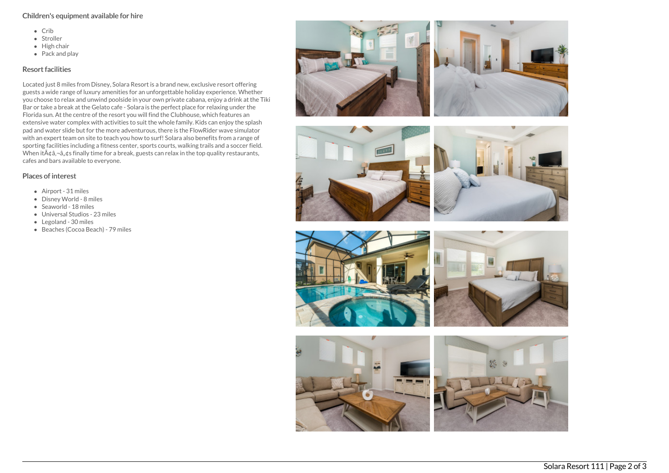#### Children's equipment available for hire

- $\bullet$  Crib
- Stroller
- $\bullet$  High chair
- Pack and play

### Resort facilities

Located just 8 miles from Disney, Solara Resort is a brand new, exclusive resort offering guests a wide range of luxury amenities for an unforgettable holiday experience. Whether you choose to relax and unwind poolside in your own private cabana, enjoy a drink at the Tiki Bar or take a break at the Gelato cafe - Solara is the perfect place for relaxing under the Florida sun. At the centre of the resort you will find the Clubhouse, which features an extensive water complex with activities to suit the whole family. Kids can enjoy the splash pad and water slide but for the more adventurous, there is the FlowRider wave simulator with an expert team on site to teach you how to surf! Solara also benefits from a range of sporting facilities including a fitness center, sports courts, walking trails and a soccer field. When it $\tilde{A}$  $\phi$  $\tilde{a}$ , $\phi$ s finally time for a break, guests can relax in the top quality restaurants, cafes and bars available to everyone.

## Places of interest

- Airport 31 miles
- Disney World 8 miles
- Seaworld 18 miles
- Universal Studios 23 miles
- Legoland 30 miles
- Beaches (Cocoa Beach) 79 miles